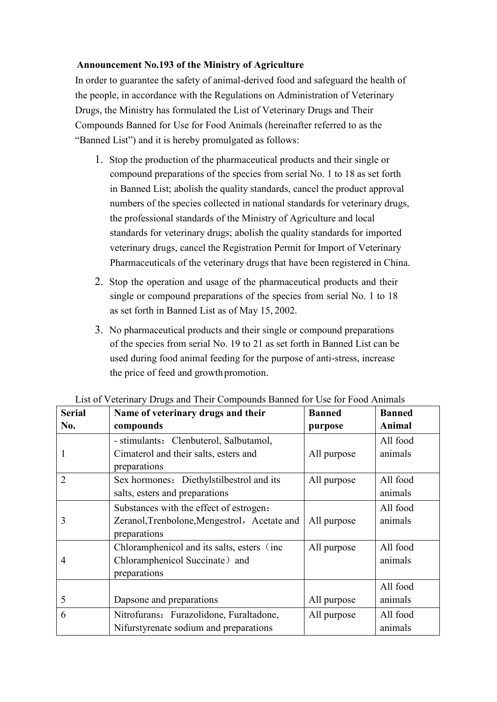## **Announcement No.193 of the Ministry of Agriculture**

 Compounds Banned for Use for Food Animals (hereinafter referred to as the "Banned List") and it is hereby promulgated as follows: In order to guarantee the safety of animal-derived food and safeguard the health of the people, in accordance with the Regulations on Administration of Veterinary Drugs, the Ministry has formulated the List of Veterinary Drugs and Their

- 1. Stop the production of the pharmaceutical products and their single or compound preparations of the species from serial No. 1 to 18 as set forth in Banned List; abolish the quality standards, cancel the product approval numbers of the species collected in national standards for veterinary drugs, the professional standards of the Ministry of Agriculture and local standards for veterinary drugs; abolish the quality standards for imported veterinary drugs, cancel the Registration Permit for Import of Veterinary Pharmaceuticals of the veterinary drugs that have been registered in China.
- as set forth in Banned List as of May 15, 2002. 2. Stop the operation and usage of the pharmaceutical products and their single or compound preparations of the species from serial No. 1 to 18
- used during food animal feeding for the purpose of anti-stress, increase the price of feed and growth promotion. 3. No pharmaceutical products and their single or compound preparations of the species from serial No. 19 to 21 as set forth in Banned List can be

| <b>Serial</b>  | Name of veterinary drugs and their           | <b>Banned</b> | <b>Banned</b> |
|----------------|----------------------------------------------|---------------|---------------|
| No.            | compounds                                    | purpose       | Animal        |
|                | - stimulants: Clenbuterol, Salbutamol,       |               | All food      |
|                | Cimaterol and their salts, esters and        | All purpose   | animals       |
|                | preparations                                 |               |               |
| $\overline{2}$ | Sex hormones: Diethylstilbestrol and its     | All purpose   | All food      |
|                | salts, esters and preparations               |               | animals       |
|                | Substances with the effect of estrogen:      |               | All food      |
| 3              | Zeranol, Trenbolone, Mengestrol, Acetate and | All purpose   | animals       |
|                | preparations                                 |               |               |
|                | Chloramphenicol and its salts, esters (inc.  | All purpose   | All food      |
| 4              | Chloramphenicol Succinate) and               |               | animals       |
|                | preparations                                 |               |               |
|                |                                              |               | All food      |
| 5              | Dapsone and preparations                     | All purpose   | animals       |
| 6              | Nitrofurans: Furazolidone, Furaltadone,      | All purpose   | All food      |
|                | Nifurstyrenate sodium and preparations       |               | animals       |

List of Veterinary Drugs and Their Compounds Banned for Use for Food Animals